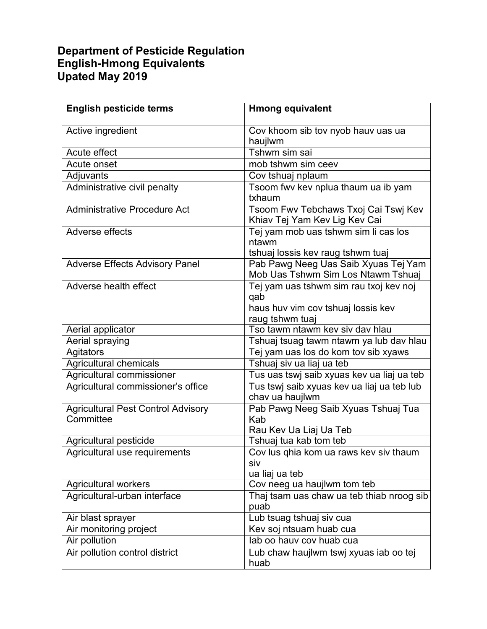## **English-Hmong Equivalents Upated May 2019 Department of Pesticide Regulation**

| <b>English pesticide terms</b>            | <b>Hmong equivalent</b>                                                            |
|-------------------------------------------|------------------------------------------------------------------------------------|
| Active ingredient                         | Cov khoom sib tov nyob hauv uas ua<br>haujlwm                                      |
| Acute effect                              | Tshwm sim sai                                                                      |
| Acute onset                               | mob tshwm sim ceev                                                                 |
| Adjuvants                                 | Cov tshuaj nplaum                                                                  |
| Administrative civil penalty              | Tsoom fwv kev nplua thaum ua ib yam<br>txhaum                                      |
| <b>Administrative Procedure Act</b>       | Tsoom Fwv Tebchaws Txoj Cai Tswj Kev<br>Khiav Tej Yam Kev Lig Kev Cai              |
| Adverse effects                           | Tej yam mob uas tshwm sim li cas los<br>ntawm<br>tshuaj lossis kev raug tshwm tuaj |
| <b>Adverse Effects Advisory Panel</b>     | Pab Pawg Neeg Uas Saib Xyuas Tej Yam                                               |
|                                           | Mob Uas Tshwm Sim Los Ntawm Tshuaj                                                 |
| Adverse health effect                     | Tej yam uas tshwm sim rau txoj kev noj<br>qab                                      |
|                                           | haus huv vim cov tshuaj lossis kev                                                 |
|                                           | raug tshwm tuaj                                                                    |
| Aerial applicator                         | Tso tawm ntawm key siy day hlau                                                    |
| Aerial spraying                           | Tshuaj tsuag tawm ntawm ya lub dav hlau                                            |
| Agitators                                 | Tej yam uas los do kom tov sib xyaws                                               |
| Agricultural chemicals                    | Tshuaj siv ua liaj ua teb                                                          |
| Agricultural commissioner                 | Tus uas tswj saib xyuas kev ua liaj ua teb                                         |
| Agricultural commissioner's office        | Tus tswj saib xyuas kev ua liaj ua teb lub<br>chav ua haujlwm                      |
| <b>Agricultural Pest Control Advisory</b> | Pab Pawg Neeg Saib Xyuas Tshuaj Tua                                                |
| Committee                                 | Kab                                                                                |
|                                           | Rau Kev Ua Liaj Ua Teb                                                             |
| Agricultural pesticide                    | Tshuaj tua kab tom teb                                                             |
| Agricultural use requirements             | Cov lus qhia kom ua raws kev siv thaum<br>siv                                      |
|                                           | ua liaj ua teb                                                                     |
| Agricultural workers                      | Cov neeg ua haujlwm tom teb                                                        |
| Agricultural-urban interface              | Thaj tsam uas chaw ua teb thiab nroog sib<br>puab                                  |
| Air blast sprayer                         | Lub tsuag tshuaj siv cua                                                           |
| Air monitoring project                    | Kev soj ntsuam huab cua                                                            |
| Air pollution                             | lab oo hauy coy huab cua                                                           |
| Air pollution control district            | Lub chaw haujlwm tswj xyuas iab oo tej<br>huab                                     |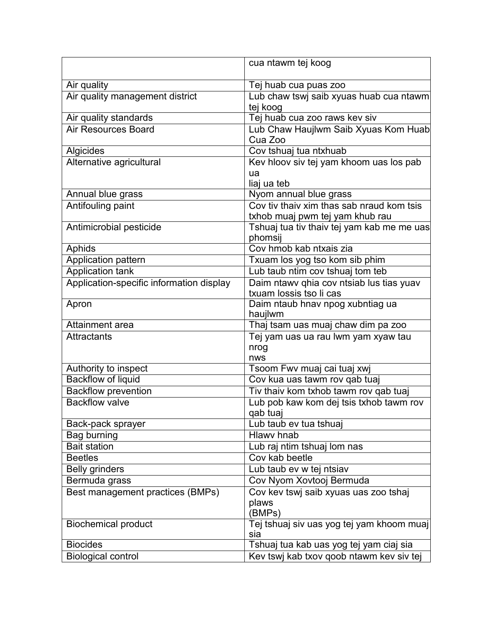|                                                     | cua ntawm tej koog                                  |
|-----------------------------------------------------|-----------------------------------------------------|
|                                                     |                                                     |
| Air quality                                         | Tej huab cua puas zoo                               |
| Air quality management district                     | Lub chaw tswj saib xyuas huab cua ntawm             |
|                                                     | tej koog                                            |
| Air quality standards                               | Tej huab cua zoo raws key siv                       |
| <b>Air Resources Board</b>                          | Lub Chaw Haujlwm Saib Xyuas Kom Huab<br>Cua Zoo     |
| Algicides                                           | Cov tshuaj tua ntxhuab                              |
| Alternative agricultural                            | Kev hloov siv tej yam khoom uas los pab             |
|                                                     | ua                                                  |
|                                                     | liaj ua teb                                         |
| Annual blue grass                                   | Nyom annual blue grass                              |
| Antifouling paint                                   | Cov tiv thaiv xim thas sab nraud kom tsis           |
|                                                     | txhob muaj pwm tej yam khub rau                     |
| Antimicrobial pesticide                             | Tshuaj tua tiv thaiv tej yam kab me me uas          |
|                                                     | phomsij                                             |
| Aphids                                              | Cov hmob kab ntxais zia                             |
| <b>Application pattern</b>                          | Txuam los yog tso kom sib phim                      |
| <b>Application tank</b>                             | Lub taub ntim cov tshuaj tom teb                    |
| Application-specific information display            | Daim ntawv qhia cov ntsiab lus tias yuav            |
|                                                     | txuam lossis tso li cas                             |
| Apron                                               | Daim ntaub hnav npog xubntiag ua                    |
|                                                     | haujlwm                                             |
| Attainment area                                     | Thaj tsam uas muaj chaw dim pa zoo                  |
| <b>Attractants</b>                                  | Tej yam uas ua rau lwm yam xyaw tau                 |
|                                                     | nrog                                                |
|                                                     | nws<br>Tsoom Fwv muaj cai tuaj xwj                  |
| Authority to inspect<br><b>Backflow of liquid</b>   | Cov kua uas tawm rov qab tuaj                       |
|                                                     |                                                     |
| <b>Backflow prevention</b><br><b>Backflow valve</b> | Tiv thaiv kom txhob tawm rov qab tuaj               |
|                                                     | Lub pob kaw kom dej tsis txhob tawm rov<br>qab tuaj |
| Back-pack sprayer                                   | Lub taub ev tua tshuaj                              |
| Bag burning                                         | <b>Hlawy hnab</b>                                   |
| <b>Bait station</b>                                 | Lub raj ntim tshuaj lom nas                         |
| <b>Beetles</b>                                      | Cov kab beetle                                      |
| <b>Belly grinders</b>                               | Lub taub ev w tej ntsiav                            |
| Bermuda grass                                       | Cov Nyom Xovtooj Bermuda                            |
| Best management practices (BMPs)                    | Cov kev tswj saib xyuas uas zoo tshaj               |
|                                                     | plaws                                               |
|                                                     | (BMPs)                                              |
| <b>Biochemical product</b>                          | Tej tshuaj siv uas yog tej yam khoom muaj           |
|                                                     | sia                                                 |
| <b>Biocides</b>                                     | Tshuaj tua kab uas yog tej yam ciaj sia             |
| <b>Biological control</b>                           | Kev tswj kab txov qoob ntawm kev siv tej            |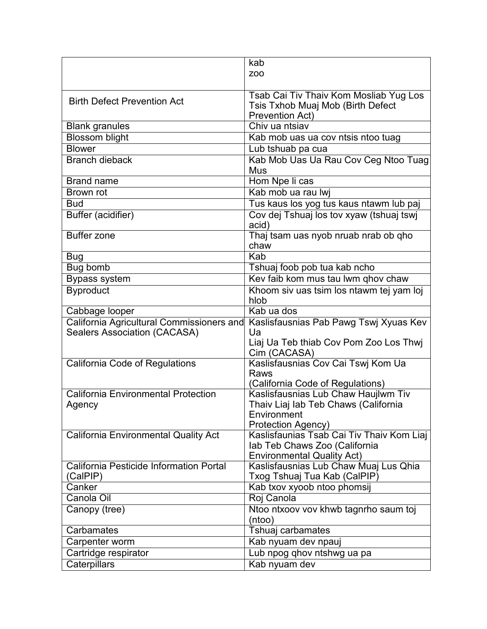|                                             | kab                                       |
|---------------------------------------------|-------------------------------------------|
|                                             | ZOO                                       |
|                                             |                                           |
| <b>Birth Defect Prevention Act</b>          | Tsab Cai Tiv Thaiv Kom Mosliab Yug Los    |
|                                             | Tsis Txhob Muaj Mob (Birth Defect         |
|                                             | Prevention Act)                           |
| <b>Blank granules</b>                       | Chiv ua ntsiav                            |
| <b>Blossom blight</b>                       | Kab mob uas ua cov ntsis ntoo tuag        |
| <b>Blower</b>                               | Lub tshuab pa cua                         |
| <b>Branch dieback</b>                       | Kab Mob Uas Ua Rau Cov Ceg Ntoo Tuag      |
|                                             | Mus                                       |
| <b>Brand name</b>                           | Hom Npe li cas                            |
| Brown rot                                   | Kab mob ua rau lwi                        |
| <b>Bud</b>                                  | Tus kaus los yog tus kaus ntawm lub paj   |
| Buffer (acidifier)                          | Cov dej Tshuaj los tov xyaw (tshuaj tswj  |
|                                             | acid)                                     |
| <b>Buffer zone</b>                          | Thaj tsam uas nyob nruab nrab ob qho      |
|                                             | chaw                                      |
| <b>Bug</b>                                  | Kab                                       |
| Bug bomb                                    | Tshuaj foob pob tua kab ncho              |
| <b>Bypass system</b>                        | Kev faib kom mus tau lwm qhov chaw        |
| <b>Byproduct</b>                            | Khoom siv uas tsim los ntawm tej yam loj  |
|                                             | hlob                                      |
| Cabbage looper                              | Kab ua dos                                |
| California Agricultural Commissioners and   | Kaslisfausnias Pab Pawg Tswj Xyuas Kev    |
| <b>Sealers Association (CACASA)</b>         | Ua                                        |
|                                             | Liaj Ua Teb thiab Cov Pom Zoo Los Thwj    |
|                                             | Cim (CACASA)                              |
| California Code of Regulations              | Kaslisfausnias Cov Cai Tswi Kom Ua        |
|                                             | Raws                                      |
|                                             | (California Code of Regulations)          |
| <b>California Environmental Protection</b>  | Kaslisfausnias Lub Chaw Haujlwm Tiv       |
| Agency                                      | Thaiv Liaj lab Teb Chaws (California      |
|                                             | Environment<br>Protection Agency)         |
| <b>California Environmental Quality Act</b> | Kaslisfaunias Tsab Cai Tiv Thaiv Kom Liaj |
|                                             | lab Teb Chaws Zoo (California             |
|                                             | <b>Environmental Quality Act)</b>         |
| California Pesticide Information Portal     | Kaslisfausnias Lub Chaw Muaj Lus Qhia     |
| (CalPIP)                                    | Txog Tshuaj Tua Kab (CalPIP)              |
| Canker                                      | Kab txov xyoob ntoo phomsij               |
| Canola Oil                                  | Roj Canola                                |
| Canopy (tree)                               | Ntoo ntxoov vov khwb tagnrho saum toj     |
|                                             | (ntoo)                                    |
| Carbamates                                  | Tshuaj carbamates                         |
| Carpenter worm                              | Kab nyuam dev npauj                       |
| Cartridge respirator                        | Lub npog qhov ntshwg ua pa                |
| Caterpillars                                | Kab nyuam dev                             |
|                                             |                                           |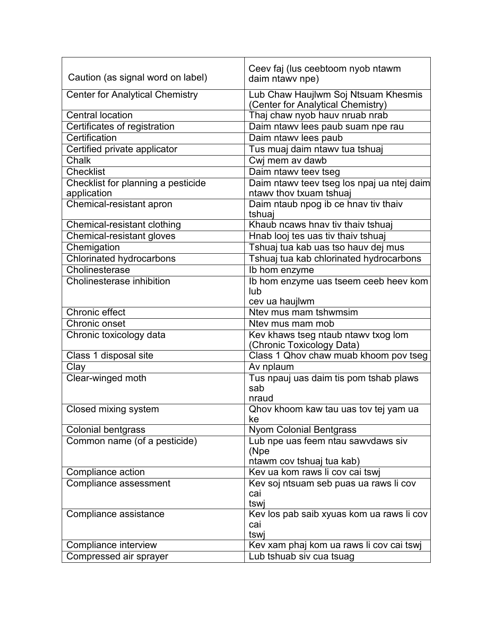| Caution (as signal word on label)                 | Ceev faj (lus ceebtoom nyob ntawm<br>daim ntawy npe)                     |
|---------------------------------------------------|--------------------------------------------------------------------------|
| <b>Center for Analytical Chemistry</b>            | Lub Chaw Haujlwm Soj Ntsuam Khesmis<br>(Center for Analytical Chemistry) |
| <b>Central location</b>                           | Thaj chaw nyob hauv nruab nrab                                           |
| Certificates of registration                      | Daim ntawv lees paub suam npe rau                                        |
| Certification                                     | Daim ntawv lees paub                                                     |
| Certified private applicator                      | Tus muaj daim ntawy tua tshuaj                                           |
| Chalk                                             | Cwj mem av dawb                                                          |
| Checklist                                         | Daim ntawv teev tseg                                                     |
| Checklist for planning a pesticide<br>application | Daim ntawv teev tseg los npaj ua ntej daim<br>ntawy thov txuam tshuaj    |
| Chemical-resistant apron                          | Daim ntaub npog ib ce hnav tiv thaiv<br>tshuaj                           |
| Chemical-resistant clothing                       | Khaub ncaws hnav tiv thaiv tshuaj                                        |
| Chemical-resistant gloves                         | Hnab looj tes uas tiv thaiv tshuaj                                       |
| Chemigation                                       | Tshuaj tua kab uas tso hauv dej mus                                      |
| <b>Chlorinated hydrocarbons</b>                   | Tshuaj tua kab chlorinated hydrocarbons                                  |
| Cholinesterase                                    | Ib hom enzyme                                                            |
| Cholinesterase inhibition                         | Ib hom enzyme uas tseem ceeb heev kom<br>lub                             |
|                                                   | cev ua haujlwm                                                           |
| <b>Chronic effect</b>                             | Ntev mus mam tshwmsim                                                    |
| <b>Chronic onset</b>                              | Ntev mus mam mob                                                         |
| Chronic toxicology data                           | Kev khaws tseg ntaub ntawv txog lom<br>(Chronic Toxicology Data)         |
| Class 1 disposal site                             | Class 1 Qhov chaw muab khoom pov tseg                                    |
| Clay                                              | Av nplaum                                                                |
| Clear-winged moth                                 | Tus npauj uas daim tis pom tshab plaws<br>sab<br>nraud                   |
| Closed mixing system                              | Qhov khoom kaw tau uas tov tej yam ua<br>ke                              |
| Colonial bentgrass                                | <b>Nyom Colonial Bentgrass</b>                                           |
| Common name (of a pesticide)                      | Lub npe uas feem ntau sawvdaws siv<br>(Npe<br>ntawm cov tshuaj tua kab)  |
| Compliance action                                 | Kev ua kom raws li cov cai tswj                                          |
| Compliance assessment                             | Kev soj ntsuam seb puas ua raws li cov<br>cai<br>tswi                    |
| Compliance assistance                             | Kev los pab saib xyuas kom ua raws li cov<br>cai<br>tswi                 |
| Compliance interview                              | Kev xam phaj kom ua raws li cov cai tswj                                 |
| Compressed air sprayer                            | Lub tshuab siv cua tsuag                                                 |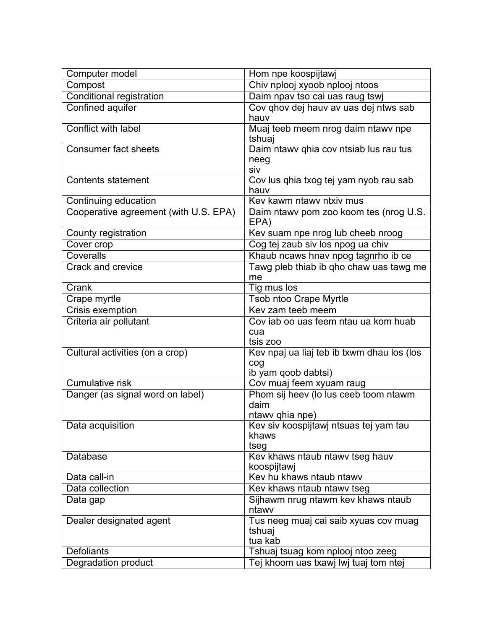| Computer model                        | Hom npe koospijtawj                         |
|---------------------------------------|---------------------------------------------|
| Compost                               | Chiv nplooj xyoob nplooj ntoos              |
| <b>Conditional registration</b>       | Daim npav tso cai uas raug tswj             |
| <b>Confined aquifer</b>               | Cov qhov dej hauv av uas dej ntws sab       |
|                                       | hauv                                        |
| <b>Conflict with label</b>            | Muaj teeb meem nrog daim ntawv npe          |
|                                       | tshuaj                                      |
| <b>Consumer fact sheets</b>           | Daim ntawy qhia cov ntsiab lus rau tus      |
|                                       | neeg<br>siv                                 |
| Contents statement                    | Cov lus qhia txog tej yam nyob rau sab      |
|                                       | hauv                                        |
| Continuing education                  | Key kawm ntawy ntxiy mus                    |
| Cooperative agreement (with U.S. EPA) | Daim ntawy pom zoo koom tes (nrog U.S.      |
|                                       | EPA)                                        |
| County registration                   | Kev suam npe nrog lub cheeb nroog           |
| Cover crop                            | Cog tej zaub siv los npog ua chiv           |
| Coveralls                             | Khaub ncaws hnav npog tagnrho ib ce         |
| Crack and crevice                     | Tawg pleb thiab ib gho chaw uas tawg me     |
|                                       | me                                          |
| Crank                                 | Tig mus los                                 |
| Crape myrtle                          | <b>Tsob ntoo Crape Myrtle</b>               |
| <b>Crisis exemption</b>               | Key zam teeb meem                           |
| Criteria air pollutant                | Cov iab oo uas feem ntau ua kom huab<br>cua |
|                                       | tsis zoo                                    |
| Cultural activities (on a crop)       | Kev npaj ua liaj teb ib txwm dhau los (los  |
|                                       | cog                                         |
|                                       | ib yam qoob dabtsi)                         |
| <b>Cumulative risk</b>                | Cov muaj feem xyuam raug                    |
| Danger (as signal word on label)      | Phom sij heev (lo lus ceeb toom ntawm       |
|                                       | daim                                        |
|                                       | ntawy qhia npe)                             |
| Data acquisition                      | Kev siv koospijtawj ntsuas tej yam tau      |
|                                       | khaws<br>tseg                               |
| Database                              | Kev khaws ntaub ntawv tseg hauv             |
|                                       | koospijtawj                                 |
| Data call-in                          | Kev hu khaws ntaub ntawv                    |
| Data collection                       | Kev khaws ntaub ntawy tseg                  |
| Data gap                              | Sijhawm nrug ntawm kev khaws ntaub          |
|                                       | ntawy                                       |
| Dealer designated agent               | Tus neeg muaj cai saib xyuas cov muag       |
|                                       | tshuaj                                      |
|                                       | tua kab                                     |
| <b>Defoliants</b>                     | Tshuaj tsuag kom nplooj ntoo zeeg           |
| Degradation product                   | Tej khoom uas txawj lwj tuaj tom ntej       |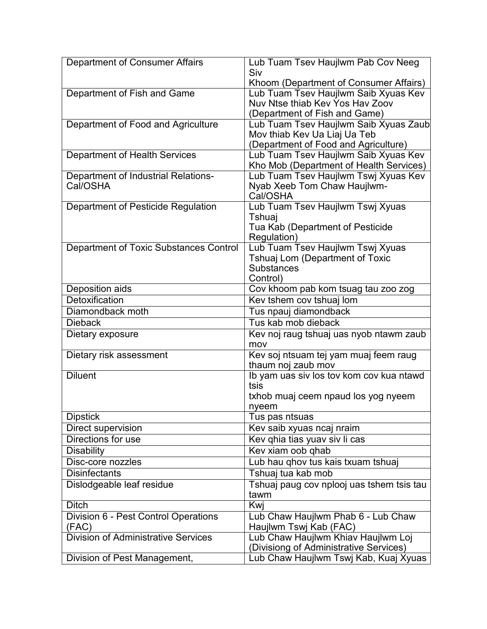| Department of Consumer Affairs             | Lub Tuam Tsev Haujlwm Pab Cov Neeg<br>Siv                                       |
|--------------------------------------------|---------------------------------------------------------------------------------|
|                                            | Khoom (Department of Consumer Affairs)                                          |
| Department of Fish and Game                | Lub Tuam Tsev Haujlwm Saib Xyuas Kev                                            |
|                                            | Nuv Ntse thiab Key Yos Hay Zoov                                                 |
|                                            | (Department of Fish and Game)                                                   |
| Department of Food and Agriculture         | Lub Tuam Tsev Haujlwm Saib Xyuas Zaub                                           |
|                                            | Mov thiab Kev Ua Liaj Ua Teb                                                    |
|                                            | (Department of Food and Agriculture)                                            |
| <b>Department of Health Services</b>       | Lub Tuam Tsev Haujlwm Saib Xyuas Kev<br>Kho Mob (Department of Health Services) |
| Department of Industrial Relations-        | Lub Tuam Tsev Haujlwm Tswj Xyuas Kev                                            |
| Cal/OSHA                                   | Nyab Xeeb Tom Chaw Haujlwm-                                                     |
|                                            | Cal/OSHA                                                                        |
| Department of Pesticide Regulation         | Lub Tuam Tsev Haujlwm Tswj Xyuas                                                |
|                                            | Tshuaj                                                                          |
|                                            | Tua Kab (Department of Pesticide                                                |
|                                            | Regulation)                                                                     |
| Department of Toxic Substances Control     | Lub Tuam Tsev Haujlwm Tswj Xyuas                                                |
|                                            | <b>Tshuaj Lom (Department of Toxic</b>                                          |
|                                            | <b>Substances</b>                                                               |
|                                            | Control)                                                                        |
| Deposition aids                            | Cov khoom pab kom tsuag tau zoo zog                                             |
| Detoxification                             | Kev tshem cov tshuaj lom                                                        |
| Diamondback moth                           | Tus npauj diamondback                                                           |
| <b>Dieback</b>                             | Tus kab mob dieback                                                             |
| Dietary exposure                           | Kev noj raug tshuaj uas nyob ntawm zaub                                         |
|                                            | mov                                                                             |
| Dietary risk assessment                    | Kev soj ntsuam tej yam muaj feem raug                                           |
|                                            | thaum noj zaub mov                                                              |
| <b>Diluent</b>                             | Ib yam uas siv los tov kom cov kua ntawd                                        |
|                                            | tsis                                                                            |
|                                            | txhob muaj ceem npaud los yog nyeem                                             |
|                                            | nyeem                                                                           |
| <b>Dipstick</b>                            | Tus pas ntsuas                                                                  |
| Direct supervision                         | Kev saib xyuas ncaj nraim                                                       |
| Directions for use                         | Kev qhia tias yuav siv li cas                                                   |
| <b>Disability</b>                          | Kev xiam oob qhab                                                               |
| Disc-core nozzles                          | Lub hau qhov tus kais txuam tshuaj                                              |
| <b>Disinfectants</b>                       | Tshuaj tua kab mob                                                              |
| Dislodgeable leaf residue                  | Tshuaj paug cov nplooj uas tshem tsis tau                                       |
|                                            | tawm                                                                            |
| <b>Ditch</b>                               | Kwj                                                                             |
| Division 6 - Pest Control Operations       | Lub Chaw Haujlwm Phab 6 - Lub Chaw                                              |
| (FAC)                                      | Haujlwm Tswj Kab (FAC)                                                          |
| <b>Division of Administrative Services</b> | Lub Chaw Haujlwm Khiav Haujlwm Loj                                              |
|                                            | (Divisiong of Administrative Services)                                          |
| Division of Pest Management,               | Lub Chaw Haujlwm Tswj Kab, Kuaj Xyuas                                           |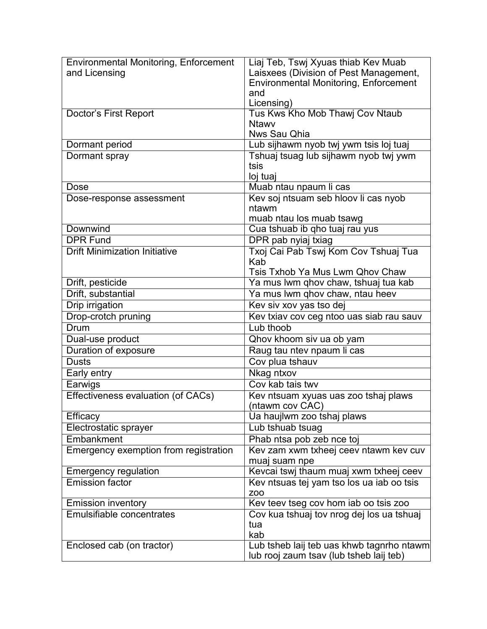| <b>Environmental Monitoring, Enforcement</b> | Liaj Teb, Tswj Xyuas thiab Kev Muab          |
|----------------------------------------------|----------------------------------------------|
| and Licensing                                | Laisxees (Division of Pest Management,       |
|                                              | <b>Environmental Monitoring, Enforcement</b> |
|                                              | and                                          |
|                                              | Licensing)                                   |
| Doctor's First Report                        | Tus Kws Kho Mob Thawj Cov Ntaub              |
|                                              | <b>Ntawy</b>                                 |
|                                              | Nws Sau Qhia                                 |
| Dormant period                               | Lub sijhawm nyob twj ywm tsis loj tuaj       |
| Dormant spray                                | Tshuaj tsuag lub sijhawm nyob twj ywm        |
|                                              | tsis                                         |
|                                              | loj tuaj                                     |
| Dose                                         | Muab ntau npaum li cas                       |
| Dose-response assessment                     | Kev soj ntsuam seb hloov li cas nyob         |
|                                              | ntawm                                        |
|                                              | muab ntau los muab tsawg                     |
| Downwind                                     | Cua tshuab ib qho tuaj rau yus               |
| <b>DPR Fund</b>                              | DPR pab nyiaj txiag                          |
| <b>Drift Minimization Initiative</b>         | Txoj Cai Pab Tswj Kom Cov Tshuaj Tua         |
|                                              | Kab                                          |
|                                              | Tsis Txhob Ya Mus Lwm Qhov Chaw              |
| Drift, pesticide                             | Ya mus lwm qhov chaw, tshuaj tua kab         |
| Drift, substantial                           | Ya mus lwm qhov chaw, ntau heev              |
| <b>Drip irrigation</b>                       | Kev siv xov yas tso dej                      |
| Drop-crotch pruning                          | Kev txiav cov ceg ntoo uas siab rau sauv     |
| <b>Drum</b>                                  | Lub thoob                                    |
| Dual-use product                             | Qhov khoom siv ua ob yam                     |
| Duration of exposure                         | Raug tau ntev npaum li cas                   |
| <b>Dusts</b>                                 | Cov plua tshauv                              |
| Early entry                                  | Nkag ntxov                                   |
| Earwigs                                      | Cov kab tais twv                             |
| Effectiveness evaluation (of CACs)           | Kev ntsuam xyuas uas zoo tshaj plaws         |
|                                              | (ntawm cov CAC)                              |
| Efficacy                                     | Ua haujlwm zoo tshaj plaws                   |
| Electrostatic sprayer                        | Lub tshuab tsuag                             |
| <b>Embankment</b>                            | Phab ntsa pob zeb nce toj                    |
| Emergency exemption from registration        | Kev zam xwm txheej ceev ntawm kev cuv        |
|                                              | muaj suam npe                                |
| <b>Emergency regulation</b>                  | Kevcai tswj thaum muaj xwm txheej ceev       |
| <b>Emission factor</b>                       | Kev ntsuas tej yam tso los ua iab oo tsis    |
|                                              | <b>ZOO</b>                                   |
| <b>Emission inventory</b>                    | Kev teev tseg cov hom iab oo tsis zoo        |
| <b>Emulsifiable concentrates</b>             | Cov kua tshuaj tov nrog dej los ua tshuaj    |
|                                              | tua                                          |
|                                              | kab                                          |
| Enclosed cab (on tractor)                    | Lub tsheb laij teb uas khwb tagnrho ntawm    |
|                                              | lub rooj zaum tsav (lub tsheb laij teb)      |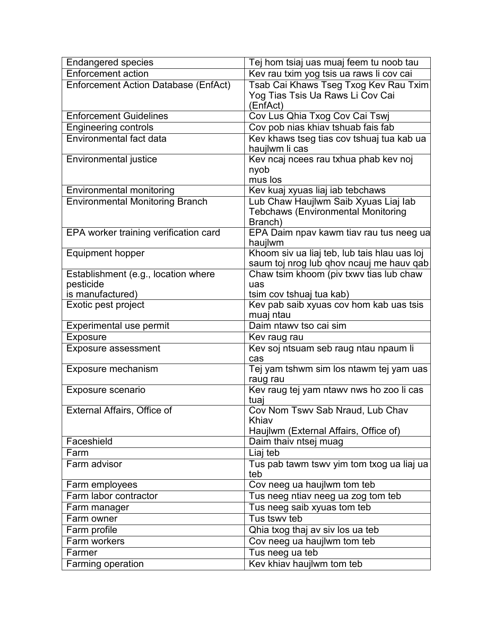| <b>Endangered species</b>                   | Tej hom tsiaj uas muaj feem tu noob tau              |
|---------------------------------------------|------------------------------------------------------|
| <b>Enforcement action</b>                   | Kev rau txim yog tsis ua raws li cov cai             |
| <b>Enforcement Action Database (EnfAct)</b> | Tsab Cai Khaws Tseg Txog Kev Rau Txim                |
|                                             | Yog Tias Tsis Ua Raws Li Cov Cai                     |
|                                             | (EnfAct)                                             |
| <b>Enforcement Guidelines</b>               | Cov Lus Qhia Txog Cov Cai Tswj                       |
| <b>Engineering controls</b>                 | Cov pob nias khiav tshuab fais fab                   |
| <b>Environmental fact data</b>              | Kev khaws tseg tias cov tshuaj tua kab ua            |
|                                             | haujlwm li cas                                       |
| Environmental justice                       | Kev ncaj ncees rau txhua phab kev noj                |
|                                             | nyob                                                 |
|                                             | mus los                                              |
| Environmental monitoring                    | Kev kuaj xyuas liaj iab tebchaws                     |
| <b>Environmental Monitoring Branch</b>      | Lub Chaw Haujlwm Saib Xyuas Liaj lab                 |
|                                             | <b>Tebchaws (Environmental Monitoring</b><br>Branch) |
|                                             |                                                      |
| EPA worker training verification card       | EPA Daim npav kawm tiav rau tus neeg ua<br>haujlwm   |
| <b>Equipment hopper</b>                     | Khoom siv ua liaj teb, lub tais hlau uas loj         |
|                                             | saum toj nrog lub qhov ncauj me hauv qab             |
| Establishment (e.g., location where         | Chaw tsim khoom (piv txwv tias lub chaw              |
| pesticide                                   | uas                                                  |
| is manufactured)                            | tsim cov tshuaj tua kab)                             |
| Exotic pest project                         | Kev pab saib xyuas cov hom kab uas tsis              |
|                                             | muaj ntau                                            |
| Experimental use permit                     | Daim ntawy tso cai sim                               |
| <b>Exposure</b>                             | Kev raug rau                                         |
| Exposure assessment                         | Kev soj ntsuam seb raug ntau npaum li                |
|                                             | cas                                                  |
| Exposure mechanism                          | Tej yam tshwm sim los ntawm tej yam uas              |
|                                             | raug rau                                             |
| Exposure scenario                           | Kev raug tej yam ntawv nws ho zoo li cas             |
|                                             | tuaj                                                 |
| External Affairs, Office of                 | Cov Nom Tswv Sab Nraud, Lub Chav                     |
|                                             | Khiav                                                |
|                                             | Haujlwm (External Affairs, Office of)                |
| Faceshield                                  | Daim thaiv ntsej muag                                |
| Farm                                        | Liaj teb                                             |
| Farm advisor                                | Tus pab tawm tswy yim tom txog ua liaj ua            |
|                                             | teb                                                  |
| Farm employees                              | Cov neeg ua haujlwm tom teb                          |
| Farm labor contractor                       | Tus neeg ntiav neeg ua zog tom teb                   |
| Farm manager                                | Tus neeg saib xyuas tom teb                          |
| Farm owner                                  | Tus tswy teb                                         |
| Farm profile                                | Qhia txog thaj av siv los ua teb                     |
| Farm workers                                | Cov neeg ua haujlwm tom teb                          |
| Farmer                                      | Tus neeg ua teb                                      |
| Farming operation                           | Kev khiav haujlwm tom teb                            |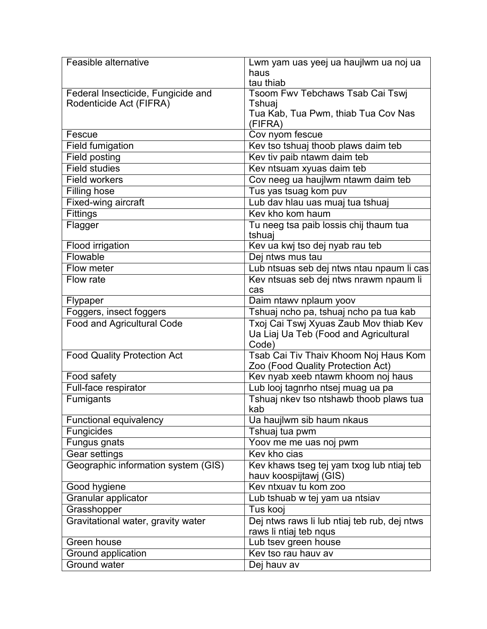| Feasible alternative                | Lwm yam uas yeej ua haujlwm ua noj ua        |
|-------------------------------------|----------------------------------------------|
|                                     | haus                                         |
|                                     | tau thiab                                    |
| Federal Insecticide, Fungicide and  | Tsoom Fwv Tebchaws Tsab Cai Tswj             |
| Rodenticide Act (FIFRA)             | Tshuaj                                       |
|                                     | Tua Kab, Tua Pwm, thiab Tua Cov Nas          |
|                                     | (FIFRA)                                      |
| Fescue                              | Cov nyom fescue                              |
| <b>Field fumigation</b>             | Kev tso tshuaj thoob plaws daim teb          |
| <b>Field posting</b>                | Kev tiv paib ntawm daim teb                  |
| <b>Field studies</b>                | Kev ntsuam xyuas daim teb                    |
| <b>Field workers</b>                | Cov neeg ua haujlwm ntawm daim teb           |
| <b>Filling hose</b>                 | Tus yas tsuag kom puv                        |
| Fixed-wing aircraft                 | Lub dav hlau uas muaj tua tshuaj             |
| <b>Fittings</b>                     | Key kho kom haum                             |
| Flagger                             | Tu neeg tsa paib lossis chij thaum tua       |
|                                     | tshuaj                                       |
| <b>Flood irrigation</b>             | Kev ua kwj tso dej nyab rau teb              |
| Flowable                            | Dej ntws mus tau                             |
| Flow meter                          | Lub ntsuas seb dej ntws ntau npaum li cas    |
| Flow rate                           | Kev ntsuas seb dej ntws nrawm npaum li       |
|                                     | cas                                          |
| Flypaper                            | Daim ntawv nplaum yoov                       |
| Foggers, insect foggers             | Tshuaj ncho pa, tshuaj ncho pa tua kab       |
| <b>Food and Agricultural Code</b>   | Txoj Cai Tswj Xyuas Zaub Mov thiab Kev       |
|                                     | Ua Liaj Ua Teb (Food and Agricultural        |
|                                     | Code)                                        |
| <b>Food Quality Protection Act</b>  | Tsab Cai Tiv Thaiv Khoom Noj Haus Kom        |
|                                     | Zoo (Food Quality Protection Act)            |
| Food safety                         | Kev nyab xeeb ntawm khoom noj haus           |
| Full-face respirator                | Lub looj tagnrho ntsej muag ua pa            |
| Fumigants                           | Tshuaj nkev tso ntshawb thoob plaws tua      |
|                                     | kab                                          |
| <b>Functional equivalency</b>       | Ua haujlwm sib haum nkaus                    |
| Fungicides                          | Tshuaj tua pwm                               |
| Fungus gnats                        | Yoov me me uas noj pwm                       |
| <b>Gear settings</b>                | Key kho cias                                 |
| Geographic information system (GIS) | Kev khaws tseg tej yam txog lub ntiaj teb    |
|                                     | hauv koospijtawj (GIS)                       |
| Good hygiene                        | Kev ntxuav tu kom zoo                        |
| Granular applicator                 | Lub tshuab w tej yam ua ntsiav               |
| Grasshopper                         | Tus kooj                                     |
| Gravitational water, gravity water  | Dej ntws raws li lub ntiaj teb rub, dej ntws |
|                                     | raws li ntiaj teb nqus                       |
| Green house                         | Lub tsev green house                         |
| Ground application                  | Kev tso rau hauv av                          |
| <b>Ground water</b>                 | Dej hauv av                                  |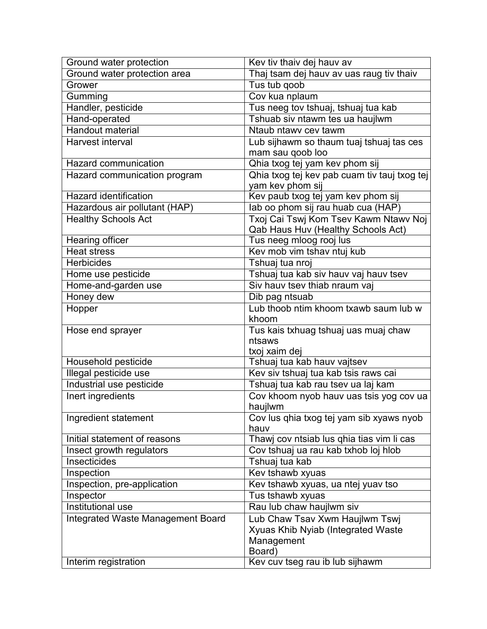| Ground water protection           | Kev tiv thaiv dej hauv av                    |
|-----------------------------------|----------------------------------------------|
| Ground water protection area      | Thaj tsam dej hauv av uas raug tiv thaiv     |
| Grower                            | Tus tub qoob                                 |
| Gumming                           | Cov kua nplaum                               |
| Handler, pesticide                | Tus neeg tov tshuaj, tshuaj tua kab          |
| Hand-operated                     | Tshuab siv ntawm tes ua haujlwm              |
| <b>Handout material</b>           | Ntaub ntawy cey tawm                         |
| <b>Harvest interval</b>           | Lub sijhawm so thaum tuaj tshuaj tas ces     |
|                                   | mam sau goob loo                             |
| <b>Hazard communication</b>       | Qhia txog tej yam kev phom sij               |
| Hazard communication program      | Qhia txog tej kev pab cuam tiv tauj txog tej |
|                                   | yam kev phom sij                             |
| <b>Hazard identification</b>      | Kev paub txog tej yam kev phom sij           |
| Hazardous air pollutant (HAP)     | lab oo phom sij rau huab cua (HAP)           |
| <b>Healthy Schools Act</b>        | Txoj Cai Tswj Kom Tsev Kawm Ntawv Noj        |
|                                   | Qab Haus Huv (Healthy Schools Act)           |
| Hearing officer                   | Tus neeg mloog rooj lus                      |
| <b>Heat stress</b>                | Kev mob vim tshav ntuj kub                   |
| <b>Herbicides</b>                 | Tshuaj tua nroj                              |
| Home use pesticide                | Tshuaj tua kab siv hauv vaj hauv tsev        |
| Home-and-garden use               | Siv hauv tsev thiab nraum vaj                |
| Honey dew                         | Dib pag ntsuab                               |
| Hopper                            | Lub thoob ntim khoom txawb saum lub w        |
|                                   | khoom                                        |
| Hose end sprayer                  | Tus kais txhuag tshuaj uas muaj chaw         |
|                                   | ntsaws                                       |
|                                   | txoj xaim dej                                |
| Household pesticide               | Tshuaj tua kab hauv vajtsev                  |
| Illegal pesticide use             | Kev siv tshuaj tua kab tsis raws cai         |
| Industrial use pesticide          | Tshuaj tua kab rau tsev ua laj kam           |
| Inert ingredients                 | Cov khoom nyob hauv uas tsis yog cov ua      |
|                                   | haujlwm                                      |
| Ingredient statement              | Cov lus qhia txog tej yam sib xyaws nyob     |
|                                   | hauv                                         |
| Initial statement of reasons      | Thawj cov ntsiab lus qhia tias vim li cas    |
| Insect growth regulators          | Cov tshuaj ua rau kab txhob loj hlob         |
| Insecticides                      | Tshuaj tua kab                               |
| Inspection                        | Kev tshawb xyuas                             |
| Inspection, pre-application       | Kev tshawb xyuas, ua ntej yuav tso           |
| Inspector                         | Tus tshawb xyuas                             |
| Institutional use                 | Rau lub chaw haujlwm siv                     |
| Integrated Waste Management Board | Lub Chaw Tsav Xwm Haujlwm Tswj               |
|                                   | Xyuas Khib Nyiab (Integrated Waste           |
|                                   | Management                                   |
|                                   | Board)                                       |
| Interim registration              | Kev cuv tseg rau ib lub sijhawm              |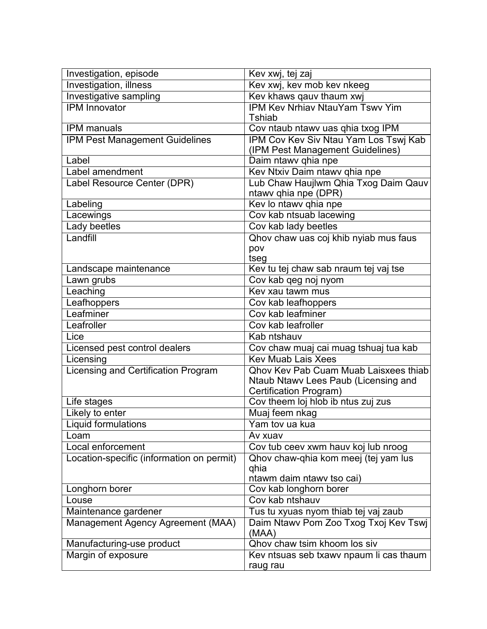| Investigation, episode                     | Kev xwj, tej zaj                               |
|--------------------------------------------|------------------------------------------------|
| Investigation, illness                     | Kev xwj, kev mob kev nkeeg                     |
| Investigative sampling                     | Kev khaws qauv thaum xwj                       |
| <b>IPM</b> Innovator                       | <b>IPM Kev Nrhiav NtauYam Tswv Yim</b>         |
|                                            | <b>Tshiab</b>                                  |
| <b>IPM</b> manuals                         | Cov ntaub ntawv uas qhia txog IPM              |
| IPM Pest Management Guidelines             | IPM Cov Kev Siv Ntau Yam Los Tswj Kab          |
|                                            | (IPM Pest Management Guidelines)               |
| Label                                      | Daim ntawv qhia npe                            |
| Label amendment                            | Kev Ntxiv Daim ntawv qhia npe                  |
| Label Resource Center (DPR)                | Lub Chaw Haujlwm Qhia Txog Daim Qauv           |
|                                            | ntawv qhia npe (DPR)                           |
| Labeling                                   | Kev lo ntawv qhia npe                          |
| Lacewings                                  | Cov kab ntsuab lacewing                        |
| Lady beetles                               | Cov kab lady beetles                           |
| Landfill                                   | Qhov chaw uas coj khib nyiab mus faus          |
|                                            | pov                                            |
|                                            | tseg                                           |
| Landscape maintenance                      | Kev tu tej chaw sab nraum tej vaj tse          |
| Lawn grubs                                 | Cov kab qeg noj nyom                           |
| Leaching                                   | Key xau tawm mus                               |
| Leafhoppers                                | Cov kab leafhoppers                            |
| Leafminer                                  | Cov kab leafminer                              |
| Leafroller                                 | Cov kab leafroller                             |
| Lice                                       | Kab ntshauv                                    |
| Licensed pest control dealers              | Cov chaw muaj cai muag tshuaj tua kab          |
| Licensing                                  | <b>Kev Muab Lais Xees</b>                      |
| <b>Licensing and Certification Program</b> | <b>Qhov Kev Pab Cuam Muab Laisxees thiab</b>   |
|                                            | Ntaub Ntawv Lees Paub (Licensing and           |
|                                            | <b>Certification Program)</b>                  |
| Life stages                                | Cov theem loj hlob ib ntus zuj zus             |
| Likely to enter                            | Muaj feem nkag                                 |
| <b>Liquid formulations</b>                 | Yam tov ua kua                                 |
| Loam                                       | Av xuav                                        |
| Local enforcement                          | Cov tub ceev xwm hauv koj lub nroog            |
| Location-specific (information on permit)  | Qhov chaw-qhia kom meej (tej yam lus           |
|                                            | qhia                                           |
|                                            | ntawm daim ntawy tso cai)                      |
| Longhorn borer                             | Cov kab longhorn borer                         |
| Louse                                      | Cov kab ntshauv                                |
| Maintenance gardener                       | Tus tu xyuas nyom thiab tej vaj zaub           |
| Management Agency Agreement (MAA)          | Daim Ntawv Pom Zoo Txog Txoj Kev Tswj<br>(MAA) |
| Manufacturing-use product                  | Qhov chaw tsim khoom los siv                   |
| Margin of exposure                         | Kev ntsuas seb txawv npaum li cas thaum        |
|                                            | raug rau                                       |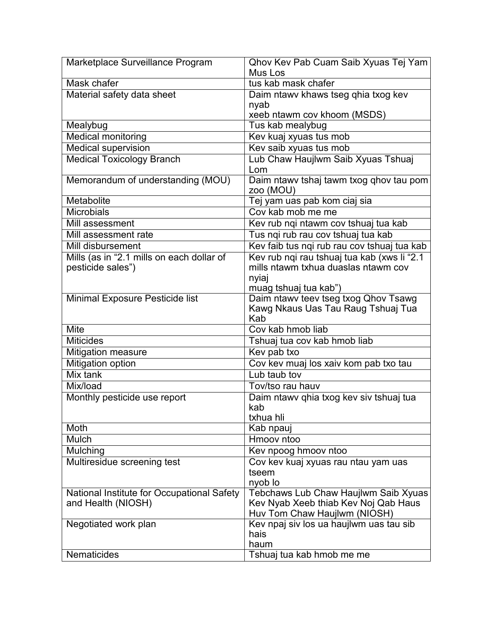| Marketplace Surveillance Program           | Qhov Kev Pab Cuam Saib Xyuas Tej Yam<br>Mus Los |
|--------------------------------------------|-------------------------------------------------|
| Mask chafer                                | tus kab mask chafer                             |
|                                            | Daim ntawy khaws tseg qhia txog kev             |
| Material safety data sheet                 | nyab                                            |
|                                            | xeeb ntawm cov khoom (MSDS)                     |
| Mealybug                                   | Tus kab mealybug                                |
| <b>Medical monitoring</b>                  | Kev kuaj xyuas tus mob                          |
| Medical supervision                        | Kev saib xyuas tus mob                          |
| <b>Medical Toxicology Branch</b>           | Lub Chaw Haujlwm Saib Xyuas Tshuaj              |
|                                            | Lom                                             |
| Memorandum of understanding (MOU)          | Daim ntawy tshaj tawm txog qhov tau pom         |
|                                            | zoo (MOU)                                       |
| Metabolite                                 | Tej yam uas pab kom ciaj sia                    |
| <b>Microbials</b>                          | Cov kab mob me me                               |
| Mill assessment                            | Kev rub ngi ntawm cov tshuaj tua kab            |
| Mill assessment rate                       | Tus nqi rub rau cov tshuaj tua kab              |
| <b>Mill disbursement</b>                   | Kev faib tus nqi rub rau cov tshuaj tua kab     |
| Mills (as in "2.1 mills on each dollar of  | Kev rub nqi rau tshuaj tua kab (xws li "2.1     |
| pesticide sales")                          | mills ntawm txhua duaslas ntawm cov             |
|                                            | nyiaj                                           |
|                                            | muag tshuaj tua kab")                           |
| Minimal Exposure Pesticide list            | Daim ntawy teev tseg txog Qhov Tsawg            |
|                                            | Kawg Nkaus Uas Tau Raug Tshuaj Tua              |
|                                            | Kab                                             |
| <b>Mite</b>                                | Cov kab hmob liab                               |
| <b>Miticides</b>                           | Tshuaj tua cov kab hmob liab                    |
| Mitigation measure                         | Kev pab txo                                     |
| <b>Mitigation option</b>                   | Cov kev muaj los xaiv kom pab txo tau           |
| Mix tank                                   | Lub taub toy                                    |
| Mix/load                                   | Tov/tso rau hauv                                |
| Monthly pesticide use report               | Daim ntawv qhia txog kev siv tshuaj tua         |
|                                            | kab                                             |
|                                            | txhua hli                                       |
| Moth                                       | Kab npauj                                       |
| Mulch                                      | Hmoov ntoo                                      |
| Mulching                                   | Kev npoog hmoov ntoo                            |
| Multiresidue screening test                | Cov kev kuaj xyuas rau ntau yam uas             |
|                                            | tseem                                           |
|                                            | nyob lo                                         |
| National Institute for Occupational Safety | Tebchaws Lub Chaw Haujlwm Saib Xyuas            |
| and Health (NIOSH)                         | Kev Nyab Xeeb thiab Kev Noj Qab Haus            |
|                                            | Huv Tom Chaw Haujlwm (NIOSH)                    |
| Negotiated work plan                       | Kev npaj siv los ua haujlwm uas tau sib         |
|                                            | hais                                            |
|                                            | haum                                            |
| <b>Nematicides</b>                         | Tshuaj tua kab hmob me me                       |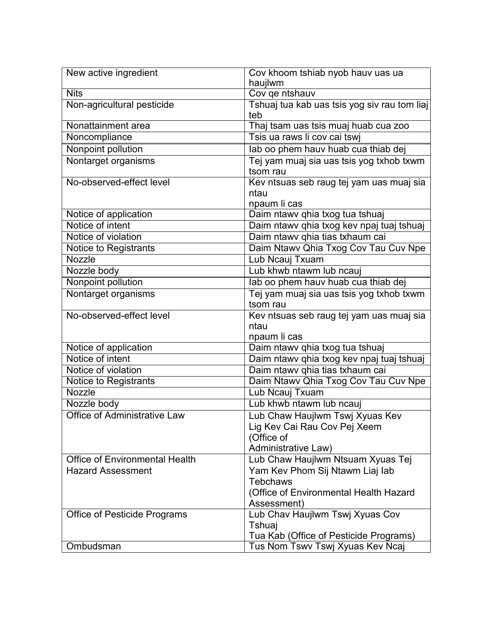| New active ingredient                 | Cov khoom tshiab nyob hauv uas ua<br>haujlwm |
|---------------------------------------|----------------------------------------------|
| <b>Nits</b>                           | Cov qe ntshauv                               |
| Non-agricultural pesticide            | Tshuaj tua kab uas tsis yog siv rau tom liaj |
|                                       | teb                                          |
| Nonattainment area                    | Thaj tsam uas tsis muaj huab cua zoo         |
| Noncompliance                         | Tsis ua raws li cov cai tswj                 |
| Nonpoint pollution                    | lab oo phem hauv huab cua thiab dej          |
| Nontarget organisms                   | Tej yam muaj sia uas tsis yog txhob txwm     |
|                                       | tsom rau                                     |
| No-observed-effect level              | Kev ntsuas seb raug tej yam uas muaj sia     |
|                                       | ntau                                         |
|                                       | npaum li cas                                 |
| Notice of application                 | Daim ntawv qhia txog tua tshuaj              |
| Notice of intent                      | Daim ntawv qhia txog kev npaj tuaj tshuaj    |
| Notice of violation                   | Daim ntawv qhia tias txhaum cai              |
| Notice to Registrants                 | Daim Ntawy Qhia Txog Cov Tau Cuv Npe         |
| Nozzle                                | Lub Ncauj Txuam                              |
| Nozzle body                           | Lub khwb ntawm lub ncauj                     |
| Nonpoint pollution                    | lab oo phem hauv huab cua thiab dej          |
| Nontarget organisms                   | Tej yam muaj sia uas tsis yog txhob txwm     |
|                                       | tsom rau                                     |
| No-observed-effect level              | Kev ntsuas seb raug tej yam uas muaj sia     |
|                                       | ntau                                         |
|                                       | npaum li cas                                 |
| Notice of application                 | Daim ntawv qhia txog tua tshuaj              |
| Notice of intent                      | Daim ntawv qhia txog kev npaj tuaj tshuaj    |
| Notice of violation                   | Daim ntawv qhia tias txhaum cai              |
| Notice to Registrants                 | Daim Ntawv Qhia Txog Cov Tau Cuv Npe         |
| Nozzle                                | Lub Ncauj Txuam                              |
| Nozzle body                           | Lub khwb ntawm lub ncauj                     |
| <b>Office of Administrative Law</b>   | Lub Chaw Haujlwm Tswj Xyuas Kev              |
|                                       | Lig Kev Cai Rau Cov Pej Xeem                 |
|                                       | (Office of                                   |
|                                       | Administrative Law)                          |
| <b>Office of Environmental Health</b> | Lub Chaw Haujlwm Ntsuam Xyuas Tej            |
| <b>Hazard Assessment</b>              | Yam Kev Phom Sij Ntawm Liaj lab              |
|                                       | <b>Tebchaws</b>                              |
|                                       | (Office of Environmental Health Hazard       |
|                                       | Assessment)                                  |
| <b>Office of Pesticide Programs</b>   | Lub Chav Haujlwm Tswj Xyuas Cov              |
|                                       | Tshuaj                                       |
|                                       | Tua Kab (Office of Pesticide Programs)       |
| Ombudsman                             | Tus Nom Tswv Tswj Xyuas Kev Ncaj             |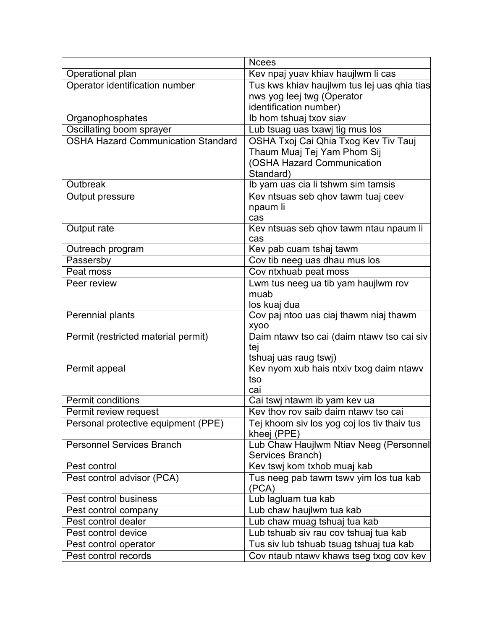|                                               | <b>Ncees</b>                                                                       |
|-----------------------------------------------|------------------------------------------------------------------------------------|
| Operational plan                              | Kev npaj yuav khiav haujlwm li cas                                                 |
| Operator identification number                | Tus kws khiav haujlwm tus lej uas qhia tias                                        |
|                                               | nws yog leej twg (Operator                                                         |
|                                               | identification number)                                                             |
| Organophosphates                              | Ib hom tshuaj txov siav                                                            |
| Oscillating boom sprayer                      | Lub tsuag uas txawj tig mus los                                                    |
| <b>OSHA Hazard Communication Standard</b>     | OSHA Txoj Cai Qhia Txog Kev Tiv Tauj                                               |
|                                               | Thaum Muaj Tej Yam Phom Sij                                                        |
|                                               | (OSHA Hazard Communication                                                         |
|                                               | Standard)                                                                          |
| Outbreak                                      | Ib yam uas cia li tshwm sim tamsis                                                 |
| Output pressure                               | Kev ntsuas seb qhov tawm tuaj ceev                                                 |
|                                               | npaum li                                                                           |
|                                               | cas                                                                                |
| Output rate                                   | Kev ntsuas seb qhov tawm ntau npaum li                                             |
|                                               | cas                                                                                |
| Outreach program                              | Kev pab cuam tshaj tawm                                                            |
| Passersby                                     | Cov tib neeg uas dhau mus los                                                      |
| Peat moss                                     | Cov ntxhuab peat moss                                                              |
| Peer review                                   | Lwm tus neeg ua tib yam haujlwm rov                                                |
|                                               | muab                                                                               |
|                                               | los kuaj dua                                                                       |
| Perennial plants                              | Cov paj ntoo uas ciaj thawm niaj thawm                                             |
|                                               | <b>XVOO</b>                                                                        |
| Permit (restricted material permit)           | Daim ntawy tso cai (daim ntawy tso cai siv                                         |
|                                               | tej                                                                                |
|                                               | tshuaj uas raug tswj)                                                              |
| Permit appeal                                 | Kev nyom xub hais ntxiv txog daim ntawv                                            |
|                                               | tso                                                                                |
| <b>Permit conditions</b>                      | cai                                                                                |
|                                               | Cai tswj ntawm ib yam kev ua                                                       |
| Permit review request                         | Key thoy roy saib daim ntawy tso cai                                               |
| Personal protective equipment (PPE)           | Tej khoom siv los yog coj los tiv thaiv tus                                        |
|                                               | kheej (PPE)                                                                        |
| <b>Personnel Services Branch</b>              | Lub Chaw Haujlwm Ntiav Neeg (Personnel                                             |
| Pest control                                  | Services Branch)                                                                   |
|                                               | Kev tswj kom txhob muaj kab                                                        |
| Pest control advisor (PCA)                    | Tus neeg pab tawm tswy yim los tua kab                                             |
| Pest control business                         | (PCA)                                                                              |
|                                               |                                                                                    |
|                                               | Lub lagluam tua kab                                                                |
| Pest control company                          | Lub chaw haujlwm tua kab                                                           |
| Pest control dealer                           | Lub chaw muag tshuaj tua kab                                                       |
| Pest control device                           | Lub tshuab siv rau cov tshuaj tua kab                                              |
| Pest control operator<br>Pest control records | Tus siv lub tshuab tsuag tshuaj tua kab<br>Cov ntaub ntawv khaws tseg txog cov kev |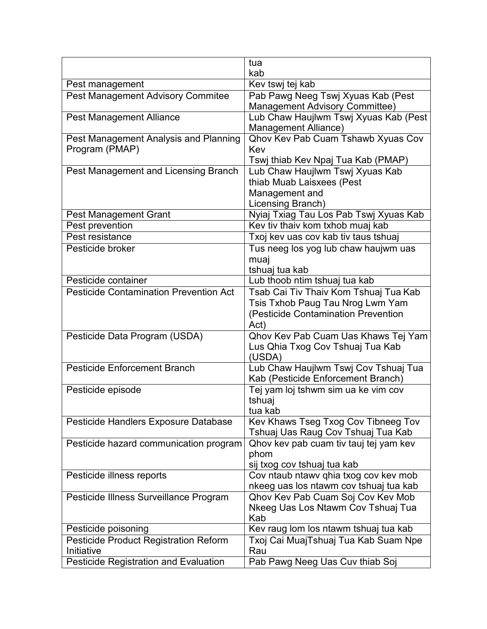|                                               | tua                                                                     |
|-----------------------------------------------|-------------------------------------------------------------------------|
|                                               | kab                                                                     |
| Pest management                               | Kev tswj tej kab                                                        |
| <b>Pest Management Advisory Commitee</b>      | Pab Pawg Neeg Tswj Xyuas Kab (Pest                                      |
|                                               | <b>Management Advisory Committee)</b>                                   |
| <b>Pest Management Alliance</b>               | Lub Chaw Haujlwm Tswj Xyuas Kab (Pest<br><b>Management Alliance)</b>    |
| Pest Management Analysis and Planning         | Qhov Kev Pab Cuam Tshawb Xyuas Cov                                      |
| Program (PMAP)                                | Kev                                                                     |
|                                               | Tswj thiab Kev Npaj Tua Kab (PMAP)                                      |
| Pest Management and Licensing Branch          | Lub Chaw Haujlwm Tswj Xyuas Kab                                         |
|                                               | thiab Muab Laisxees (Pest                                               |
|                                               | Management and                                                          |
|                                               | Licensing Branch)                                                       |
| Pest Management Grant                         | Nyiaj Txiag Tau Los Pab Tswj Xyuas Kab                                  |
| Pest prevention                               | Kev tiv thaiv kom txhob muaj kab                                        |
| Pest resistance                               | Txoj kev uas cov kab tiv taus tshuaj                                    |
| Pesticide broker                              | Tus neeg los yog lub chaw haujwm uas                                    |
|                                               | muaj                                                                    |
|                                               | tshuaj tua kab                                                          |
| Pesticide container                           | Lub thoob ntim tshuaj tua kab                                           |
| <b>Pesticide Contamination Prevention Act</b> | Tsab Cai Tiv Thaiv Kom Tshuaj Tua Kab                                   |
|                                               | Tsis Txhob Paug Tau Nrog Lwm Yam                                        |
|                                               | (Pesticide Contamination Prevention                                     |
|                                               | Act)                                                                    |
| Pesticide Data Program (USDA)                 | Qhov Kev Pab Cuam Uas Khaws Tej Yam                                     |
|                                               | Lus Qhia Txog Cov Tshuaj Tua Kab<br>(USDA)                              |
| <b>Pesticide Enforcement Branch</b>           | Lub Chaw Haujlwm Tswj Cov Tshuaj Tua                                    |
|                                               | Kab (Pesticide Enforcement Branch)                                      |
| Pesticide episode                             | Tej yam loj tshwm sim ua ke vim cov                                     |
|                                               | tshuaj                                                                  |
|                                               | tua kab                                                                 |
| Pesticide Handlers Exposure Database          | Kev Khaws Tseg Txog Cov Tibneeg Tov                                     |
|                                               | Tshuaj Uas Raug Cov Tshuaj Tua Kab                                      |
| Pesticide hazard communication program        | Qhov kev pab cuam tiv tauj tej yam kev                                  |
|                                               | phom                                                                    |
|                                               | sij txog cov tshuaj tua kab                                             |
| Pesticide illness reports                     | Cov ntaub ntawv qhia txog cov kev mob                                   |
|                                               | nkeeg uas los ntawm cov tshuaj tua kab                                  |
| Pesticide Illness Surveillance Program        | Qhov Kev Pab Cuam Soj Cov Kev Mob<br>Nkeeg Uas Los Ntawm Cov Tshuaj Tua |
|                                               | Kab                                                                     |
| Pesticide poisoning                           | Kev raug lom los ntawm tshuaj tua kab                                   |
| Pesticide Product Registration Reform         | Txoj Cai MuajTshuaj Tua Kab Suam Npe                                    |
| Initiative                                    | Rau                                                                     |
| <b>Pesticide Registration and Evaluation</b>  | Pab Pawg Neeg Uas Cuv thiab Soj                                         |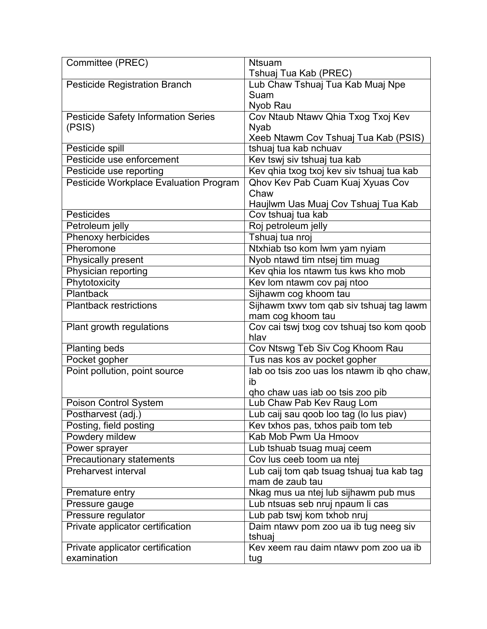| Committee (PREC)                       | <b>Ntsuam</b>                              |
|----------------------------------------|--------------------------------------------|
|                                        | Tshuaj Tua Kab (PREC)                      |
| <b>Pesticide Registration Branch</b>   | Lub Chaw Tshuaj Tua Kab Muaj Npe           |
|                                        | Suam                                       |
|                                        | Nyob Rau                                   |
| Pesticide Safety Information Series    | Cov Ntaub Ntawv Qhia Txog Txoj Kev         |
| (PSIS)                                 | <b>Nyab</b>                                |
|                                        | Xeeb Ntawm Cov Tshuaj Tua Kab (PSIS)       |
| Pesticide spill                        | tshuaj tua kab nchuav                      |
| Pesticide use enforcement              | Kev tswj siv tshuaj tua kab                |
| Pesticide use reporting                | Kev qhia txog txoj kev siv tshuaj tua kab  |
| Pesticide Workplace Evaluation Program | Qhov Kev Pab Cuam Kuaj Xyuas Cov           |
|                                        | Chaw                                       |
|                                        | Haujlwm Uas Muaj Cov Tshuaj Tua Kab        |
| Pesticides                             | Cov tshuaj tua kab                         |
| Petroleum jelly                        | Roj petroleum jelly                        |
| <b>Phenoxy herbicides</b>              | Tshuaj tua nroj                            |
| Pheromone                              | Ntxhiab tso kom lwm yam nyiam              |
| Physically present                     | Nyob ntawd tim ntsej tim muag              |
| Physician reporting                    | Kev qhia los ntawm tus kws kho mob         |
| Phytotoxicity                          | Kev lom ntawm cov paj ntoo                 |
| <b>Plantback</b>                       | Sijhawm cog khoom tau                      |
| <b>Plantback restrictions</b>          | Sijhawm txwv tom qab siv tshuaj tag lawm   |
|                                        | mam cog khoom tau                          |
| Plant growth regulations               | Cov cai tswj txog cov tshuaj tso kom qoob  |
|                                        | hlav                                       |
| <b>Planting beds</b>                   | Cov Ntswg Teb Siv Cog Khoom Rau            |
| Pocket gopher                          | Tus nas kos av pocket gopher               |
| Point pollution, point source          | lab oo tsis zoo uas los ntawm ib qho chaw, |
|                                        | ib                                         |
|                                        | qho chaw uas iab oo tsis zoo pib           |
| Poison Control System                  | Lub Chaw Pab Kev Raug Lom                  |
| Postharvest (adj.)                     | Lub caij sau qoob loo tag (lo lus piav)    |
| Posting, field posting                 | Kev txhos pas, txhos paib tom teb          |
| Powdery mildew                         | Kab Mob Pwm Ua Hmoov                       |
| Power sprayer                          | Lub tshuab tsuag muaj ceem                 |
| <b>Precautionary statements</b>        | Cov lus ceeb toom ua ntej                  |
| <b>Preharvest interval</b>             | Lub caij tom qab tsuag tshuaj tua kab tag  |
|                                        | mam de zaub tau                            |
| Premature entry                        | Nkag mus ua ntej lub sijhawm pub mus       |
| Pressure gauge                         | Lub ntsuas seb nruj npaum li cas           |
| Pressure regulator                     | Lub pab tswj kom txhob nruj                |
| Private applicator certification       | Daim ntawy pom zoo ua ib tug neeg siv      |
|                                        | tshuaj                                     |
| Private applicator certification       | Kev xeem rau daim ntawy pom zoo ua ib      |
| examination                            | tug                                        |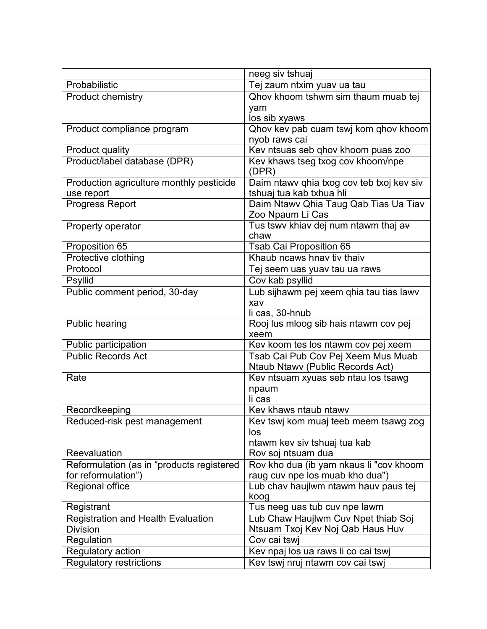|                                                            | neeg siv tshuaj                                                         |
|------------------------------------------------------------|-------------------------------------------------------------------------|
| Probabilistic                                              | Tej zaum ntxim yuav ua tau                                              |
| <b>Product chemistry</b>                                   | Qhov khoom tshwm sim thaum muab tej                                     |
|                                                            | yam                                                                     |
|                                                            | los sib xyaws                                                           |
| Product compliance program                                 | Qhov kev pab cuam tswj kom qhov khoom                                   |
|                                                            | nyob raws cai                                                           |
| Product quality                                            | Kev ntsuas seb qhov khoom puas zoo                                      |
| Product/label database (DPR)                               | Kev khaws tseg txog cov khoom/npe<br>(DPR)                              |
| Production agriculture monthly pesticide                   | Daim ntawv qhia txog cov teb txoj kev siv                               |
| use report                                                 | tshuaj tua kab txhua hli                                                |
| <b>Progress Report</b>                                     | Daim Ntawv Qhia Taug Qab Tias Ua Tiav                                   |
|                                                            | Zoo Npaum Li Cas                                                        |
| Property operator                                          | Tus tswy khiav dej num ntawm thaj av                                    |
|                                                            | chaw                                                                    |
| Proposition 65                                             | <b>Tsab Cai Proposition 65</b>                                          |
| Protective clothing                                        | Khaub ncaws hnay tiv thaiv                                              |
| Protocol                                                   | Tej seem uas yuav tau ua raws                                           |
| Psyllid                                                    | Cov kab psyllid                                                         |
| Public comment period, 30-day                              | Lub sijhawm pej xeem qhia tau tias lawv                                 |
|                                                            | xav                                                                     |
|                                                            | li cas, 30-hnub                                                         |
| <b>Public hearing</b>                                      | Rooj lus mloog sib hais ntawm cov pej<br>xeem                           |
| Public participation                                       | Kev koom tes los ntawm cov pej xeem                                     |
| <b>Public Records Act</b>                                  | Tsab Cai Pub Cov Pej Xeem Mus Muab                                      |
|                                                            | Ntaub Ntawv (Public Records Act)                                        |
| Rate                                                       | Kev ntsuam xyuas seb ntau los tsawg                                     |
|                                                            | npaum                                                                   |
|                                                            | li cas                                                                  |
| Recordkeeping                                              | Kev khaws ntaub ntawv                                                   |
| Reduced-risk pest management                               | Kev tswj kom muaj teeb meem tsawg zog                                   |
|                                                            | los                                                                     |
|                                                            | ntawm kev siv tshuaj tua kab                                            |
| Reevaluation                                               | Rov soj ntsuam dua                                                      |
| Reformulation (as in "products registered                  | Rov kho dua (ib yam nkaus li "cov khoom                                 |
| for reformulation")                                        | raug cuv npe los muab kho dua")                                         |
| Regional office                                            | Lub chav haujlwm ntawm hauv paus tej                                    |
|                                                            | koog                                                                    |
| Registrant                                                 | Tus neeg uas tub cuv npe lawm                                           |
| <b>Registration and Health Evaluation</b>                  | Lub Chaw Haujlwm Cuv Npet thiab Soj<br>Ntsuam Txoj Kev Noj Qab Haus Huv |
| <b>Division</b><br>Regulation                              | Cov cai tswj                                                            |
|                                                            |                                                                         |
| <b>Regulatory action</b><br><b>Regulatory restrictions</b> | Kev npaj los ua raws li co cai tswj<br>Kev tswj nruj ntawm cov cai tswj |
|                                                            |                                                                         |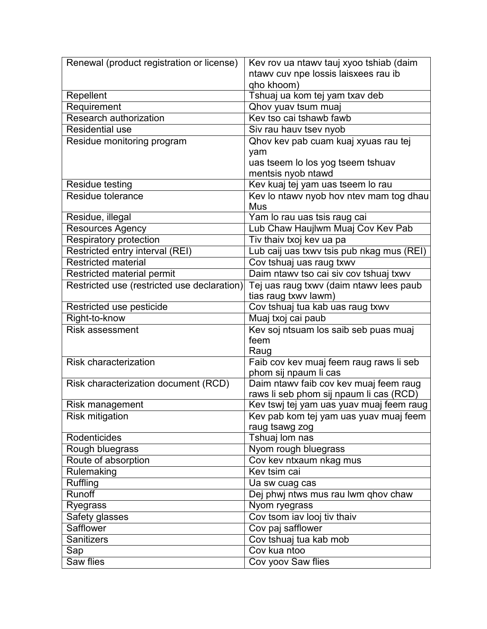| Renewal (product registration or license)   | Kev rov ua ntawv tauj xyoo tshiab (daim   |
|---------------------------------------------|-------------------------------------------|
|                                             | ntawy cuv npe lossis laisxees rau ib      |
|                                             | qho khoom)                                |
| Repellent                                   | Tshuaj ua kom tej yam txav deb            |
| Requirement                                 | Qhov yuav tsum muaj                       |
| <b>Research authorization</b>               | Kev tso cai tshawb fawb                   |
| <b>Residential use</b>                      | Siv rau hauv tsev nyob                    |
| Residue monitoring program                  | Qhov kev pab cuam kuaj xyuas rau tej      |
|                                             | yam                                       |
|                                             | uas tseem lo los yog tseem tshuav         |
|                                             | mentsis nyob ntawd                        |
| Residue testing                             | Kev kuaj tej yam uas tseem lo rau         |
| Residue tolerance                           | Kev lo ntawv nyob hov ntev mam tog dhau   |
|                                             | Mus                                       |
| Residue, illegal                            | Yam lo rau uas tsis raug cai              |
| Resources Agency                            | Lub Chaw Haujlwm Muaj Cov Kev Pab         |
| <b>Respiratory protection</b>               | Tiv thaiv txoj kev ua pa                  |
| Restricted entry interval (REI)             | Lub caij uas txwy tsis pub nkag mus (REI) |
| <b>Restricted material</b>                  | Cov tshuaj uas raug txwv                  |
| Restricted material permit                  | Daim ntawy tso cai siv cov tshuaj txwy    |
| Restricted use (restricted use declaration) | Tej uas raug txwv (daim ntawv lees paub   |
|                                             | tias raug txwv lawm)                      |
| Restricted use pesticide                    | Cov tshuaj tua kab uas raug txwv          |
|                                             |                                           |
| Right-to-know                               | Muaj txoj cai paub                        |
| <b>Risk assessment</b>                      | Kev soj ntsuam los saib seb puas muaj     |
|                                             | feem                                      |
|                                             | Raug                                      |
| <b>Risk characterization</b>                | Faib cov kev muaj feem raug raws li seb   |
|                                             | phom sij npaum li cas                     |
| Risk characterization document (RCD)        | Daim ntawv faib cov kev muaj feem raug    |
|                                             | raws li seb phom sij npaum li cas (RCD)   |
| Risk management                             | Kev tswj tej yam uas yuav muaj feem raug  |
| <b>Risk mitigation</b>                      | Kev pab kom tej yam uas yuav muaj feem    |
|                                             | raug tsawg zog                            |
| Rodenticides                                | Tshuaj lom nas                            |
| Rough bluegrass                             | Nyom rough bluegrass                      |
| Route of absorption                         | Cov kev ntxaum nkag mus                   |
| Rulemaking                                  | Kev tsim cai                              |
| <b>Ruffling</b>                             | Ua sw cuag cas                            |
| Runoff                                      | Dej phwj ntws mus rau lwm qhov chaw       |
| Ryegrass                                    | Nyom ryegrass                             |
| <b>Safety glasses</b>                       | Cov tsom iav looj tiv thaiv               |
| <b>Safflower</b>                            | Cov paj safflower                         |
| <b>Sanitizers</b>                           | Cov tshuaj tua kab mob                    |
| Sap<br><b>Saw flies</b>                     | Cov kua ntoo<br>Cov yoov Saw flies        |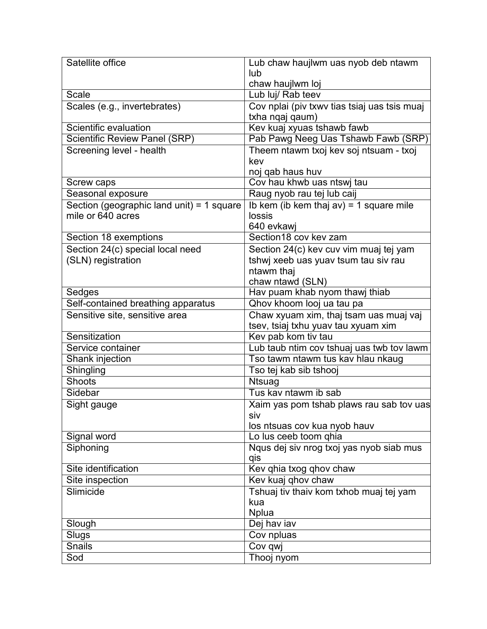| Satellite office                          | Lub chaw haujlwm uas nyob deb ntawm          |
|-------------------------------------------|----------------------------------------------|
|                                           | lub                                          |
|                                           | chaw haujlwm loj                             |
| <b>Scale</b>                              | Lub luj/ Rab teev                            |
| Scales (e.g., invertebrates)              | Cov nplai (piv txwv tias tsiaj uas tsis muaj |
|                                           | txha nqaj qaum)                              |
| Scientific evaluation                     | Kev kuaj xyuas tshawb fawb                   |
| <b>Scientific Review Panel (SRP)</b>      | Pab Pawg Neeg Uas Tshawb Fawb (SRP)          |
| Screening level - health                  | Theem ntawm txoj kev soj ntsuam - txoj       |
|                                           | kev                                          |
|                                           | noj qab haus huv                             |
| Screw caps                                | Cov hau khwb uas ntswj tau                   |
| Seasonal exposure                         | Raug nyob rau tej lub caij                   |
| Section (geographic land unit) = 1 square | Ib kem (ib kem thaj $av$ ) = 1 square mile   |
| mile or 640 acres                         | lossis                                       |
|                                           | 640 evkawi                                   |
| Section 18 exemptions                     | Section18 cov key zam                        |
| Section 24(c) special local need          | Section 24(c) kev cuv vim muaj tej yam       |
| (SLN) registration                        | tshwj xeeb uas yuav tsum tau siv rau         |
|                                           | ntawm thaj                                   |
|                                           | chaw ntawd (SLN)                             |
| Sedges                                    | Hav puam khab nyom thawj thiab               |
| Self-contained breathing apparatus        | Qhov khoom looj ua tau pa                    |
| Sensitive site, sensitive area            | Chaw xyuam xim, thaj tsam uas muaj vaj       |
|                                           | tsev, tsiaj txhu yuav tau xyuam xim          |
| Sensitization                             | Kev pab kom tiv tau                          |
| Service container                         | Lub taub ntim cov tshuaj uas twb tov lawm    |
| Shank injection                           | Tso tawm ntawm tus kav hlau nkaug            |
| Shingling                                 | Tso tej kab sib tshooj                       |
| Shoots                                    | Ntsuag                                       |
| Sidebar                                   | Tus kay ntawm ib sab                         |
| Sight gauge                               | Xaim yas pom tshab plaws rau sab tov uas     |
|                                           | SIV                                          |
|                                           | los ntsuas cov kua nyob hauv                 |
| Signal word                               | Lo lus ceeb toom qhia                        |
| Siphoning                                 | Nqus dej siv nrog txoj yas nyob siab mus     |
|                                           | qis                                          |
| Site identification                       | Kev qhia txog qhov chaw                      |
| Site inspection                           | Kev kuaj qhov chaw                           |
| Slimicide                                 | Tshuaj tiv thaiv kom txhob muaj tej yam      |
|                                           | kua                                          |
|                                           | <b>Nplua</b>                                 |
| Slough                                    | Dej hav iav                                  |
| Slugs                                     | Cov npluas                                   |
| <b>Snails</b>                             | Cov qwj                                      |
| Sod                                       | Thooj nyom                                   |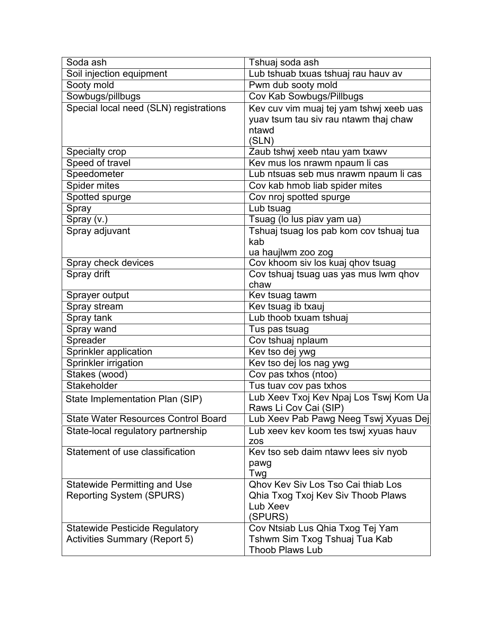| Soda ash                                   | Tshuaj soda ash                           |
|--------------------------------------------|-------------------------------------------|
| Soil injection equipment                   | Lub tshuab txuas tshuaj rau hauv av       |
| Sooty mold                                 | Pwm dub sooty mold                        |
| Sowbugs/pillbugs                           | Cov Kab Sowbugs/Pillbugs                  |
| Special local need (SLN) registrations     | Kev cuv vim muaj tej yam tshwj xeeb uas   |
|                                            | yuav tsum tau siv rau ntawm thaj chaw     |
|                                            | ntawd                                     |
|                                            | (SLN)                                     |
| Specialty crop                             | Zaub tshwj xeeb ntau yam txawv            |
| Speed of travel                            | Kev mus los nrawm npaum li cas            |
| Speedometer                                | Lub ntsuas seb mus nrawm npaum li cas     |
| Spider mites                               | Cov kab hmob liab spider mites            |
| Spotted spurge                             | Cov nroj spotted spurge                   |
| Spray                                      | Lub tsuag                                 |
| $\overline{\mathsf{Spr}}$ ray (v.)         | Tsuag (lo lus piav yam ua)                |
| Spray adjuvant                             | Tshuaj tsuag los pab kom cov tshuaj tua   |
|                                            | kab                                       |
|                                            | ua haujlwm zoo zog                        |
| Spray check devices                        | Cov khoom siv los kuaj qhov tsuag         |
| Spray drift                                | Cov tshuaj tsuag uas yas mus lwm qhov     |
|                                            | chaw                                      |
| Sprayer output                             | Kev tsuag tawm                            |
| Spray stream                               | Kev tsuag ib txauj                        |
| Spray tank                                 | Lub thoob txuam tshuaj                    |
| Spray wand                                 | Tus pas tsuag                             |
| Spreader                                   | Cov tshuaj nplaum                         |
| Sprinkler application                      | Kev tso dej ywg                           |
| Sprinkler irrigation                       | Kev tso dej los nag ywg                   |
| Stakes (wood)                              | Cov pas txhos (ntoo)                      |
| Stakeholder                                | Tus tuav cov pas txhos                    |
| State Implementation Plan (SIP)            | Lub Xeev Txoj Kev Npaj Los Tswj Kom Ua    |
|                                            | Raws Li Cov Cai (SIP)                     |
| <b>State Water Resources Control Board</b> | Lub Xeev Pab Pawg Neeg Tswj Xyuas Dej     |
| State-local regulatory partnership         | Lub xeev kev koom tes tswj xyuas hauv     |
|                                            | <b>ZOS</b>                                |
| Statement of use classification            | Kev tso seb daim ntawy lees siv nyob      |
|                                            | pawg                                      |
|                                            | Twg                                       |
| <b>Statewide Permitting and Use</b>        | <b>Qhov Kev Siv Los Tso Cai thiab Los</b> |
| <b>Reporting System (SPURS)</b>            | Qhia Txog Txoj Kev Siv Thoob Plaws        |
|                                            | Lub Xeev                                  |
|                                            | (SPURS)                                   |
| <b>Statewide Pesticide Regulatory</b>      | Cov Ntsiab Lus Qhia Txog Tej Yam          |
| <b>Activities Summary (Report 5)</b>       | Tshwm Sim Txog Tshuaj Tua Kab             |
|                                            | <b>Thoob Plaws Lub</b>                    |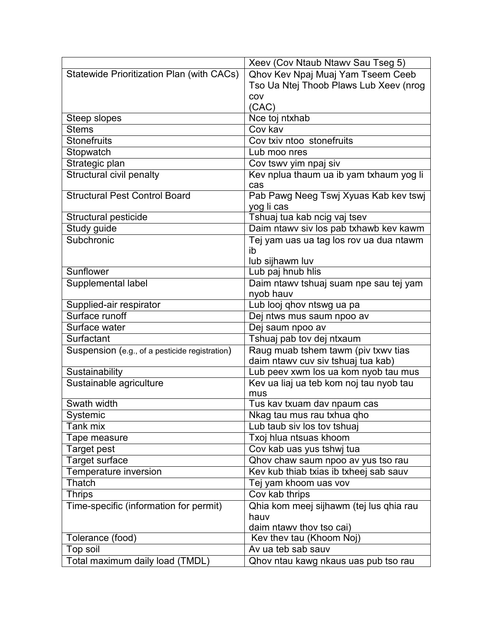|                                                | Xeev (Cov Ntaub Ntawv Sau Tseg 5)       |
|------------------------------------------------|-----------------------------------------|
| Statewide Prioritization Plan (with CACs)      | Qhov Kev Npaj Muaj Yam Tseem Ceeb       |
|                                                | Tso Ua Ntej Thoob Plaws Lub Xeev (nrog  |
|                                                | COV                                     |
|                                                | (CAC)                                   |
| Steep slopes                                   | Nce toj ntxhab                          |
| <b>Stems</b>                                   | Cov kav                                 |
| <b>Stonefruits</b>                             | Cov txiv ntoo stonefruits               |
| Stopwatch                                      | Lub moo nres                            |
| Strategic plan                                 | Cov tswv yim npaj siv                   |
| <b>Structural civil penalty</b>                | Kev nplua thaum ua ib yam txhaum yog li |
|                                                | cas                                     |
| <b>Structural Pest Control Board</b>           | Pab Pawg Neeg Tswj Xyuas Kab kev tswj   |
|                                                | yog li cas                              |
| Structural pesticide                           | Tshuaj tua kab ncig vaj tsev            |
| Study guide                                    | Daim ntawv siv los pab txhawb kev kawm  |
| Subchronic                                     | Tej yam uas ua tag los rov ua dua ntawm |
|                                                | ib                                      |
|                                                | lub sijhawm luv                         |
| Sunflower                                      | Lub paj hnub hlis                       |
| Supplemental label                             | Daim ntawv tshuaj suam npe sau tej yam  |
|                                                | nyob hauv                               |
| Supplied-air respirator                        | Lub looj qhov ntswg ua pa               |
| Surface runoff                                 | Dej ntws mus saum npoo av               |
| Surface water                                  | Dej saum npoo av                        |
| Surfactant                                     | Tshuaj pab tov dej ntxaum               |
| Suspension (e.g., of a pesticide registration) | Raug muab tshem tawm (piv txwv tias     |
|                                                | daim ntawy cuv siv tshuaj tua kab)      |
| Sustainability                                 | Lub peev xwm los ua kom nyob tau mus    |
| Sustainable agriculture                        | Kev ua liaj ua teb kom noj tau nyob tau |
|                                                | mus                                     |
| Swath width                                    | Tus kav txuam dav npaum cas             |
| Systemic                                       | Nkag tau mus rau txhua qho              |
| Tank mix                                       | Lub taub siv los tov tshuaj             |
| Tape measure                                   | Txoj hlua ntsuas khoom                  |
| <b>Target pest</b>                             | Cov kab uas yus tshwj tua               |
| <b>Target surface</b>                          | Qhov chaw saum npoo av yus tso rau      |
| Temperature inversion                          | Kev kub thiab txias ib txheej sab sauv  |
| Thatch                                         | Tej yam khoom uas vov                   |
| <b>Thrips</b>                                  | Cov kab thrips                          |
| Time-specific (information for permit)         | Qhia kom meej sijhawm (tej lus qhia rau |
|                                                | hauv                                    |
|                                                | daim ntawy thoy tso cai)                |
| Tolerance (food)                               | Kev thev tau (Khoom Noj)                |
| Top soil                                       | Av ua teb sab sauv                      |
| Total maximum daily load (TMDL)                | Qhov ntau kawg nkaus uas pub tso rau    |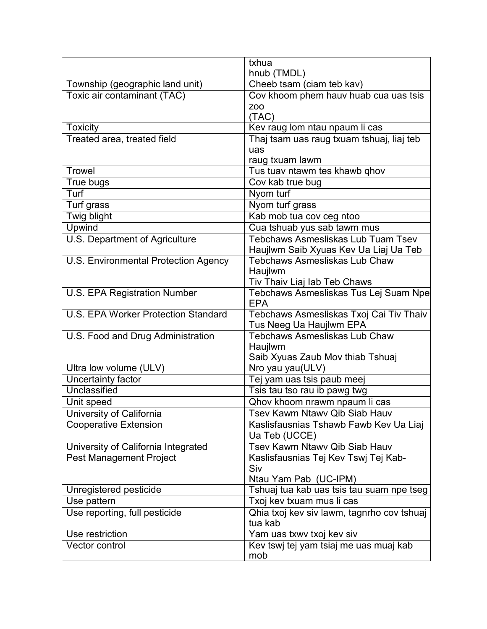|                                      | txhua                                               |
|--------------------------------------|-----------------------------------------------------|
|                                      | hnub (TMDL)                                         |
| Township (geographic land unit)      | Cheeb tsam (ciam teb kav)                           |
| Toxic air contaminant (TAC)          | Cov khoom phem hauv huab cua uas tsis               |
|                                      | <b>ZOO</b>                                          |
|                                      | (TAC)                                               |
| <b>Toxicity</b>                      | Kev raug lom ntau npaum li cas                      |
| Treated area, treated field          | Thaj tsam uas raug txuam tshuaj, liaj teb           |
|                                      | uas                                                 |
|                                      | raug txuam lawm                                     |
| <b>Trowel</b>                        | Tus tuav ntawm tes khawb qhov                       |
| True bugs                            | Cov kab true bug                                    |
| Turf                                 | Nyom turf                                           |
| Turf grass                           | Nyom turf grass                                     |
| Twig blight                          | Kab mob tua cov ceg ntoo                            |
| Upwind                               | Cua tshuab yus sab tawm mus                         |
| U.S. Department of Agriculture       | <b>Tebchaws Asmesliskas Lub Tuam Tsev</b>           |
|                                      | Haujlwm Saib Xyuas Kev Ua Liaj Ua Teb               |
| U.S. Environmental Protection Agency | <b>Tebchaws Asmesliskas Lub Chaw</b>                |
|                                      | Haujlwm                                             |
|                                      | Tiv Thaiv Liaj lab Teb Chaws                        |
| <b>U.S. EPA Registration Number</b>  | Tebchaws Asmesliskas Tus Lej Suam Npe<br><b>EPA</b> |
| U.S. EPA Worker Protection Standard  | Tebchaws Asmesliskas Txoj Cai Tiv Thaiv             |
|                                      | Tus Neeg Ua Haujlwm EPA                             |
| U.S. Food and Drug Administration    | <b>Tebchaws Asmesliskas Lub Chaw</b>                |
|                                      | Haujlwm                                             |
|                                      | Saib Xyuas Zaub Mov thiab Tshuaj                    |
| Ultra low volume (ULV)               | Nro yau yau(ULV)                                    |
| Uncertainty factor                   | Tej yam uas tsis paub meej                          |
| <b>Unclassified</b>                  | Tsis tau tso rau ib pawg twg                        |
| Unit speed                           | Qhov khoom nrawm npaum li cas                       |
| <b>University of California</b>      | Tsev Kawm Ntawv Qib Siab Hauv                       |
| <b>Cooperative Extension</b>         | Kaslisfausnias Tshawb Fawb Kev Ua Liaj              |
|                                      | Ua Teb (UCCE)                                       |
| University of California Integrated  | Tsev Kawm Ntawy Qib Siab Hauv                       |
| <b>Pest Management Project</b>       | Kaslisfausnias Tej Kev Tswj Tej Kab-                |
|                                      | Siv                                                 |
|                                      | Ntau Yam Pab (UC-IPM)                               |
| Unregistered pesticide               | Tshuaj tua kab uas tsis tau suam npe tseg           |
| Use pattern                          | Txoj kev txuam mus li cas                           |
| Use reporting, full pesticide        | Qhia txoj kev siv lawm, tagnrho cov tshuaj          |
|                                      | tua kab                                             |
| Use restriction                      | Yam uas txwy txoj key siv                           |
| Vector control                       | Kev tswj tej yam tsiaj me uas muaj kab              |
|                                      | mob                                                 |